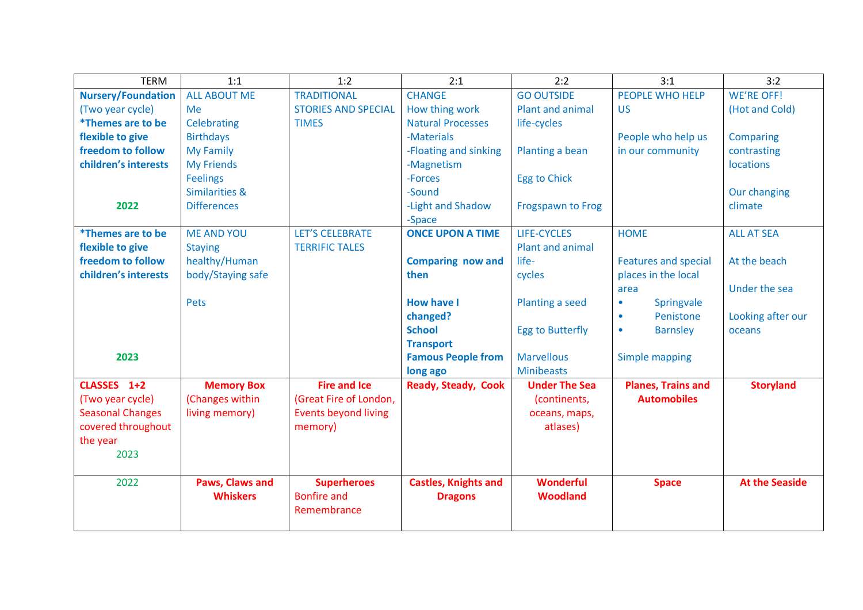| <b>TERM</b>                     | 1:1                       | 1:2                         | 2:1                         | 2:2                      | 3:1                          | 3:2                   |
|---------------------------------|---------------------------|-----------------------------|-----------------------------|--------------------------|------------------------------|-----------------------|
| <b>Nursery/Foundation</b>       | <b>ALL ABOUT ME</b>       | <b>TRADITIONAL</b>          | <b>CHANGE</b>               | <b>GO OUTSIDE</b>        | <b>PEOPLE WHO HELP</b>       | <b>WE'RE OFF!</b>     |
| (Two year cycle)                | Me                        | <b>STORIES AND SPECIAL</b>  | How thing work              | Plant and animal         | <b>US</b>                    | (Hot and Cold)        |
| <i>*Themes are to be</i>        | <b>Celebrating</b>        | <b>TIMES</b>                | <b>Natural Processes</b>    | life-cycles              |                              |                       |
| flexible to give                | <b>Birthdays</b>          |                             | -Materials                  |                          | People who help us           | Comparing             |
| freedom to follow               | <b>My Family</b>          |                             | -Floating and sinking       | Planting a bean          | in our community             | contrasting           |
| children's interests            | <b>My Friends</b>         |                             | -Magnetism                  |                          |                              | <b>locations</b>      |
|                                 | <b>Feelings</b>           |                             | -Forces                     | <b>Egg to Chick</b>      |                              |                       |
|                                 | <b>Similarities &amp;</b> |                             | -Sound                      |                          |                              | Our changing          |
| 2022                            | <b>Differences</b>        |                             | -Light and Shadow           | <b>Frogspawn to Frog</b> |                              | climate               |
|                                 |                           |                             | -Space                      |                          |                              |                       |
| <i><b>*Themes are to be</b></i> | <b>ME AND YOU</b>         | <b>LET'S CELEBRATE</b>      | <b>ONCE UPON A TIME</b>     | <b>LIFE-CYCLES</b>       | <b>HOME</b>                  | <b>ALL AT SEA</b>     |
| flexible to give                | <b>Staying</b>            | <b>TERRIFIC TALES</b>       |                             | Plant and animal         |                              |                       |
| freedom to follow               | healthy/Human             |                             | <b>Comparing now and</b>    | life-                    | <b>Features and special</b>  | At the beach          |
| children's interests            | body/Staying safe         |                             | then                        | cycles                   | places in the local          |                       |
|                                 |                           |                             |                             |                          | area                         | Under the sea         |
|                                 | <b>Pets</b>               |                             | <b>How have I</b>           | Planting a seed          | Springvale<br>$\bullet$      |                       |
|                                 |                           |                             | changed?                    |                          | Penistone<br>$\bullet$       | Looking after our     |
|                                 |                           |                             | <b>School</b>               | <b>Egg to Butterfly</b>  | <b>Barnsley</b><br>$\bullet$ | oceans                |
|                                 |                           |                             | <b>Transport</b>            |                          |                              |                       |
| 2023                            |                           |                             | <b>Famous People from</b>   | <b>Marvellous</b>        | Simple mapping               |                       |
|                                 |                           |                             | long ago                    | <b>Minibeasts</b>        |                              |                       |
| CLASSES 1+2                     | <b>Memory Box</b>         | <b>Fire and Ice</b>         | <b>Ready, Steady, Cook</b>  | <b>Under The Sea</b>     | <b>Planes, Trains and</b>    | <b>Storyland</b>      |
| (Two year cycle)                | (Changes within           | (Great Fire of London,      |                             | (continents,             | <b>Automobiles</b>           |                       |
| <b>Seasonal Changes</b>         | living memory)            | <b>Events beyond living</b> |                             | oceans, maps,            |                              |                       |
| covered throughout              |                           | memory)                     |                             | atlases)                 |                              |                       |
| the year                        |                           |                             |                             |                          |                              |                       |
| 2023                            |                           |                             |                             |                          |                              |                       |
|                                 |                           |                             |                             |                          |                              |                       |
| 2022                            | Paws, Claws and           | <b>Superheroes</b>          | <b>Castles, Knights and</b> | <b>Wonderful</b>         | <b>Space</b>                 | <b>At the Seaside</b> |
|                                 | <b>Whiskers</b>           | <b>Bonfire and</b>          | <b>Dragons</b>              | <b>Woodland</b>          |                              |                       |
|                                 |                           | Remembrance                 |                             |                          |                              |                       |
|                                 |                           |                             |                             |                          |                              |                       |